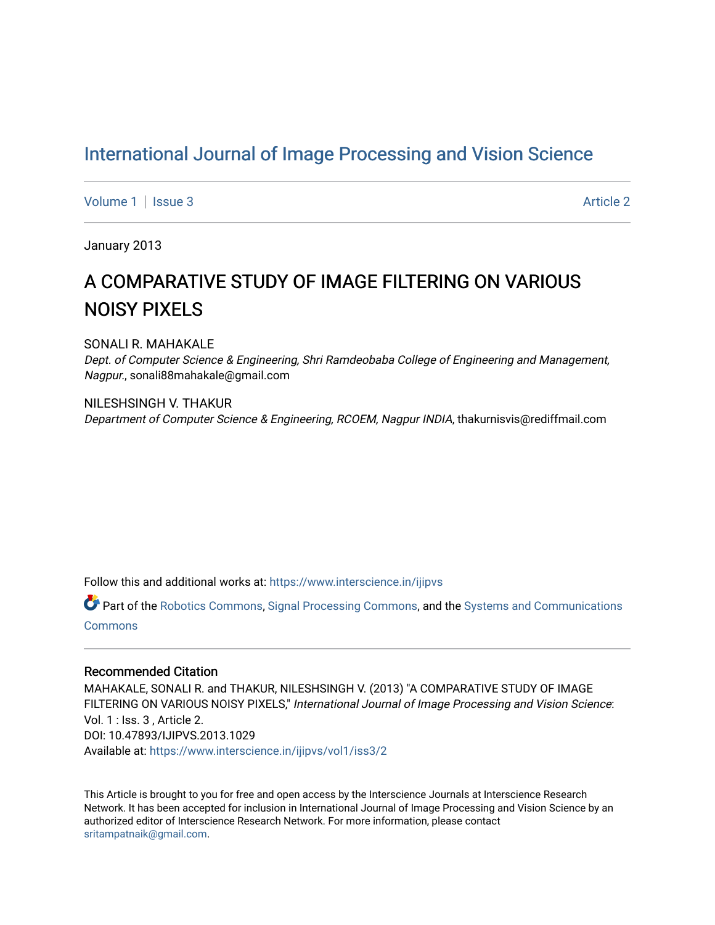## [International Journal of Image Processing and Vision Science](https://www.interscience.in/ijipvs)

[Volume 1](https://www.interscience.in/ijipvs/vol1) | [Issue 3](https://www.interscience.in/ijipvs/vol1/iss3) Article 2

January 2013

# A COMPARATIVE STUDY OF IMAGE FILTERING ON VARIOUS NOISY PIXELS

SONALI R. MAHAKALE

Dept. of Computer Science & Engineering, Shri Ramdeobaba College of Engineering and Management, Nagpur., sonali88mahakale@gmail.com

NILESHSINGH V. THAKUR Department of Computer Science & Engineering, RCOEM, Nagpur INDIA, thakurnisvis@rediffmail.com

Follow this and additional works at: [https://www.interscience.in/ijipvs](https://www.interscience.in/ijipvs?utm_source=www.interscience.in%2Fijipvs%2Fvol1%2Fiss3%2F2&utm_medium=PDF&utm_campaign=PDFCoverPages)

Part of the [Robotics Commons](http://network.bepress.com/hgg/discipline/264?utm_source=www.interscience.in%2Fijipvs%2Fvol1%2Fiss3%2F2&utm_medium=PDF&utm_campaign=PDFCoverPages), [Signal Processing Commons,](http://network.bepress.com/hgg/discipline/275?utm_source=www.interscience.in%2Fijipvs%2Fvol1%2Fiss3%2F2&utm_medium=PDF&utm_campaign=PDFCoverPages) and the Systems and Communications [Commons](http://network.bepress.com/hgg/discipline/276?utm_source=www.interscience.in%2Fijipvs%2Fvol1%2Fiss3%2F2&utm_medium=PDF&utm_campaign=PDFCoverPages)

#### Recommended Citation

MAHAKALE, SONALI R. and THAKUR, NILESHSINGH V. (2013) "A COMPARATIVE STUDY OF IMAGE FILTERING ON VARIOUS NOISY PIXELS," International Journal of Image Processing and Vision Science: Vol. 1 : Iss. 3 , Article 2. DOI: 10.47893/IJIPVS.2013.1029 Available at: [https://www.interscience.in/ijipvs/vol1/iss3/2](https://www.interscience.in/ijipvs/vol1/iss3/2?utm_source=www.interscience.in%2Fijipvs%2Fvol1%2Fiss3%2F2&utm_medium=PDF&utm_campaign=PDFCoverPages) 

This Article is brought to you for free and open access by the Interscience Journals at Interscience Research Network. It has been accepted for inclusion in International Journal of Image Processing and Vision Science by an authorized editor of Interscience Research Network. For more information, please contact [sritampatnaik@gmail.com](mailto:sritampatnaik@gmail.com).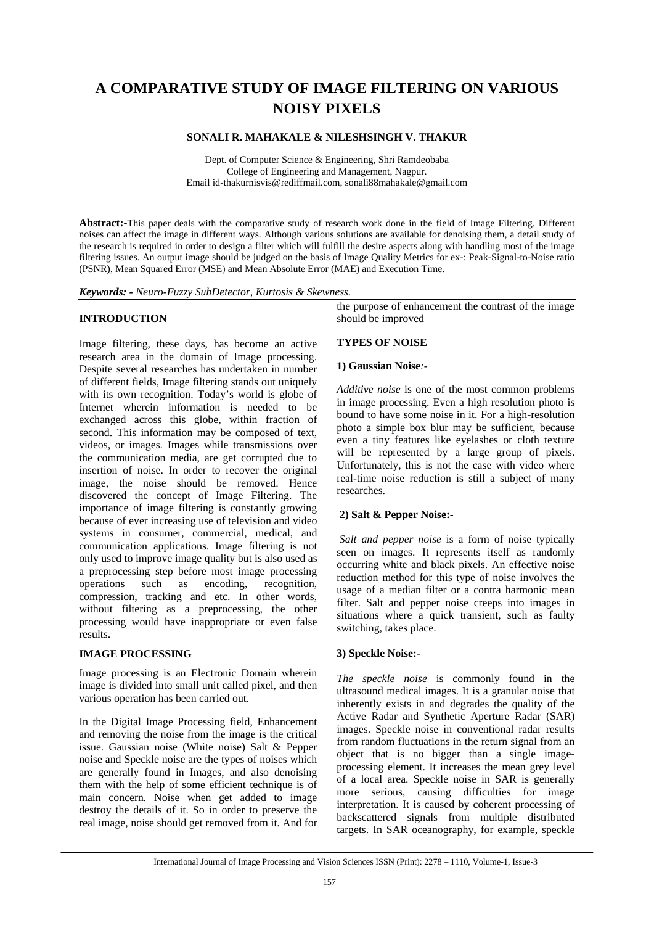## **A COMPARATIVE STUDY OF IMAGE FILTERING ON VARIOUS NOISY PIXELS**

#### **SONALI R. MAHAKALE & NILESHSINGH V. THAKUR**

Dept. of Computer Science & Engineering, Shri Ramdeobaba College of Engineering and Management, Nagpur. Email id-thakurnisvis@rediffmail.com, sonali88mahakale@gmail.com

**Abstract:-**This paper deals with the comparative study of research work done in the field of Image Filtering. Different noises can affect the image in different ways. Although various solutions are available for denoising them, a detail study of the research is required in order to design a filter which will fulfill the desire aspects along with handling most of the image filtering issues. An output image should be judged on the basis of Image Quality Metrics for ex-: Peak-Signal-to-Noise ratio (PSNR), Mean Squared Error (MSE) and Mean Absolute Error (MAE) and Execution Time.

*Keywords: - Neuro-Fuzzy SubDetector, Kurtosis & Skewness.* 

#### **INTRODUCTION**

Image filtering, these days, has become an active research area in the domain of Image processing. Despite several researches has undertaken in number of different fields, Image filtering stands out uniquely with its own recognition. Today's world is globe of Internet wherein information is needed to be exchanged across this globe, within fraction of second. This information may be composed of text, videos, or images. Images while transmissions over the communication media, are get corrupted due to insertion of noise. In order to recover the original image, the noise should be removed. Hence discovered the concept of Image Filtering. The importance of image filtering is constantly growing because of ever increasing use of television and video systems in consumer, commercial, medical, and communication applications. Image filtering is not only used to improve image quality but is also used as a preprocessing step before most image processing operations such as encoding, recognition, compression, tracking and etc. In other words, without filtering as a preprocessing, the other processing would have inappropriate or even false results.

#### **IMAGE PROCESSING**

Image processing is an Electronic Domain wherein image is divided into small unit called pixel, and then various operation has been carried out.

In the Digital Image Processing field, Enhancement and removing the noise from the image is the critical issue. Gaussian noise (White noise) Salt & Pepper noise and Speckle noise are the types of noises which are generally found in Images, and also denoising them with the help of some efficient technique is of main concern. Noise when get added to image destroy the details of it. So in order to preserve the real image, noise should get removed from it. And for the purpose of enhancement the contrast of the image should be improved

#### **TYPES OF NOISE**

#### **1) Gaussian Noise***:-*

*Additive noise* is one of the most common problems in image processing. Even a high resolution photo is bound to have some noise in it. For a high-resolution photo a simple box blur may be sufficient, because even a tiny features like eyelashes or cloth texture will be represented by a large group of pixels. Unfortunately, this is not the case with video where real-time noise reduction is still a subject of many researches.

#### **2) Salt & Pepper Noise:-**

 *Salt and pepper noise* is a form of noise typically seen on images. It represents itself as randomly occurring white and black pixels. An effective noise reduction method for this type of noise involves the usage of a median filter or a contra harmonic mean filter. Salt and pepper noise creeps into images in situations where a quick transient, such as faulty switching, takes place.

#### **3) Speckle Noise:-**

*The speckle noise* is commonly found in the ultrasound medical images. It is a granular noise that inherently exists in and degrades the quality of the Active Radar and Synthetic Aperture Radar (SAR) images. Speckle noise in conventional radar results from random fluctuations in the return signal from an object that is no bigger than a single imageprocessing element. It increases the mean grey level of a local area. Speckle noise in SAR is generally more serious, causing difficulties for image interpretation. It is caused by coherent processing of backscattered signals from multiple distributed targets. In SAR oceanography, for example, speckle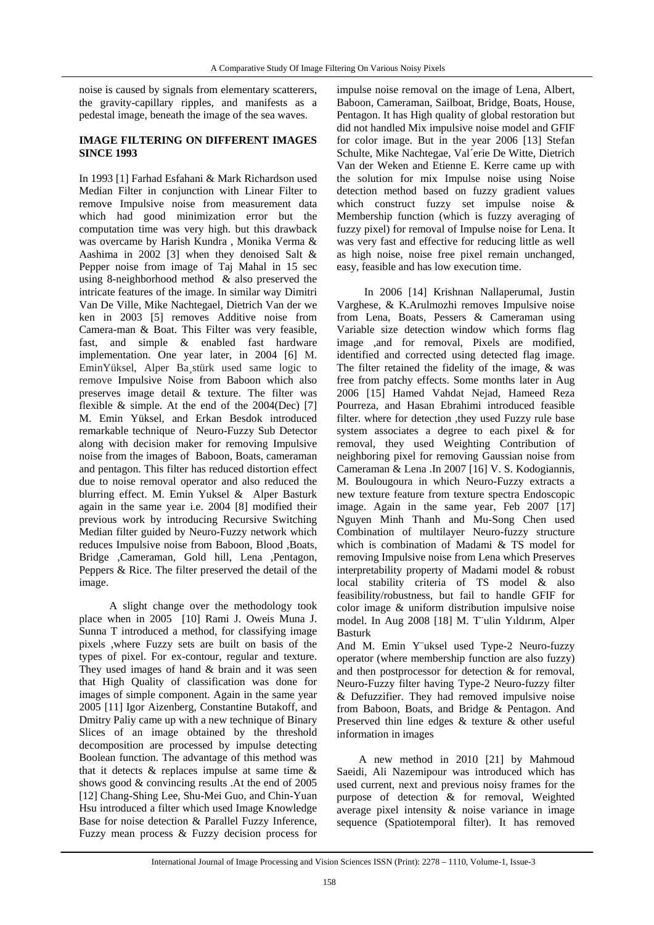noise is caused by signals from elementary scatterers, the gravity-capillary ripples, and manifests as a pedestal image, beneath the image of the sea waves.

#### **IMAGE FILTERING ON DIFFERENT IMAGES SINCE 1993**

In 1993 [1] Farhad Esfahani & Mark Richardson used Median Filter in conjunction with Linear Filter to remove Impulsive noise from measurement data which had good minimization error but the computation time was very high. but this drawback was overcame by Harish Kundra , Monika Verma & Aashima in 2002 [3] when they denoised Salt & Pepper noise from image of Taj Mahal in 15 sec using 8-neighborhood method & also preserved the intricate features of the image. In similar way Dimitri Van De Ville*,* Mike Nachtegael, Dietrich Van der we ken in 2003 [5] removes Additive noise from Camera-man & Boat. This Filter was very feasible, fast, and simple & enabled fast hardware implementation. One year later, in 2004 [6] M. EminYüksel, Alper Ba¸stürk used same logic to remove Impulsive Noise from Baboon which also preserves image detail & texture. The filter was flexible  $\&$  simple. At the end of the 2004(Dec) [7] M. Emin Yüksel*,* and Erkan Besdok introduced remarkable technique of Neuro-Fuzzy Sub Detector along with decision maker for removing Impulsive noise from the images of Baboon, Boats, cameraman and pentagon. This filter has reduced distortion effect due to noise removal operator and also reduced the blurring effect. M. Emin Yuksel & Alper Basturk again in the same year i.e. 2004 [8] modified their previous work by introducing Recursive Switching Median filter guided by Neuro-Fuzzy network which reduces Impulsive noise from Baboon, Blood ,Boats, Bridge ,Cameraman, Gold hill, Lena ,Pentagon, Peppers & Rice. The filter preserved the detail of the image.

 A slight change over the methodology took place when in 2005 [10] Rami J. Oweis Muna J. Sunna T introduced a method, for classifying image pixels ,where Fuzzy sets are built on basis of the types of pixel. For ex-contour, regular and texture. They used images of hand & brain and it was seen that High Quality of classification was done for images of simple component. Again in the same year 2005 [11] Igor Aizenberg, Constantine Butakoff, and Dmitry Paliy came up with a new technique of Binary Slices of an image obtained by the threshold decomposition are processed by impulse detecting Boolean function. The advantage of this method was that it detects & replaces impulse at same time & shows good & convincing results .At the end of 2005 [12] Chang-Shing Lee, Shu-Mei Guo, and Chin-Yuan Hsu introduced a filter which used Image Knowledge Base for noise detection & Parallel Fuzzy Inference, Fuzzy mean process & Fuzzy decision process for

impulse noise removal on the image of Lena, Albert, Baboon, Cameraman, Sailboat, Bridge, Boats, House, Pentagon. It has High quality of global restoration but did not handled Mix impulsive noise model and GFIF for color image. But in the year 2006 [13] Stefan Schulte, Mike Nachtegae, Val´erie De Witte, Dietrich Van der Weken and Etienne E. Kerre came up with the solution for mix Impulse noise using Noise detection method based on fuzzy gradient values which construct fuzzy set impulse noise & Membership function (which is fuzzy averaging of fuzzy pixel) for removal of Impulse noise for Lena. It was very fast and effective for reducing little as well as high noise, noise free pixel remain unchanged, easy, feasible and has low execution time.

 In 2006 [14] Krishnan Nallaperumal, Justin Varghese, & K.Arulmozhi removes Impulsive noise from Lena, Boats, Pessers & Cameraman using Variable size detection window which forms flag image ,and for removal, Pixels are modified, identified and corrected using detected flag image. The filter retained the fidelity of the image, & was free from patchy effects. Some months later in Aug 2006 [15] Hamed Vahdat Nejad, Hameed Reza Pourreza, and Hasan Ebrahimi introduced feasible filter. where for detection ,they used Fuzzy rule base system associates a degree to each pixel & for removal, they used Weighting Contribution of neighboring pixel for removing Gaussian noise from Cameraman & Lena .In 2007 [16] V. S. Kodogiannis, M. Boulougoura in which Neuro-Fuzzy extracts a new texture feature from texture spectra Endoscopic image. Again in the same year, Feb 2007 [17] Nguyen Minh Thanh and Mu-Song Chen used Combination of multilayer Neuro-fuzzy structure which is combination of Madami & TS model for removing Impulsive noise from Lena which Preserves interpretability property of Madami model & robust local stability criteria of TS model & also feasibility/robustness, but fail to handle GFIF for color image & uniform distribution impulsive noise model. In Aug 2008 [18] M. T¨ulin Yıldırım*,* Alper Basturk

And M. Emin Y¨uksel used Type-2 Neuro-fuzzy operator (where membership function are also fuzzy) and then postprocessor for detection & for removal, Neuro-Fuzzy filter having Type-2 Neuro-fuzzy filter & Defuzzifier. They had removed impulsive noise from Baboon, Boats, and Bridge & Pentagon. And Preserved thin line edges & texture & other useful information in images

 A new method in 2010 [21] by Mahmoud Saeidi, Ali Nazemipour was introduced which has used current, next and previous noisy frames for the purpose of detection & for removal, Weighted average pixel intensity & noise variance in image sequence (Spatiotemporal filter). It has removed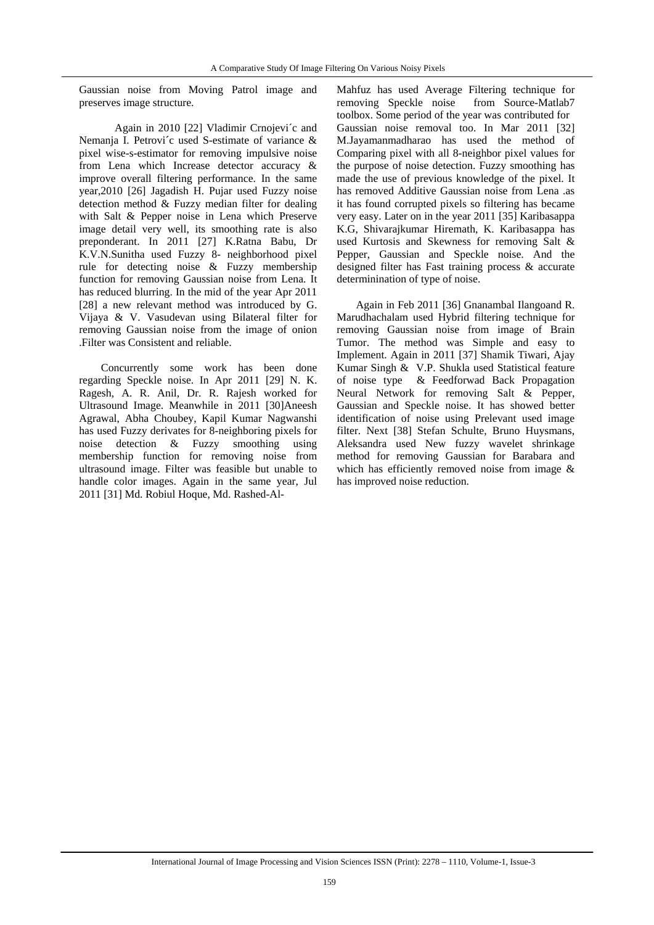Gaussian noise from Moving Patrol image and preserves image structure.

 Again in 2010 [22] Vladimir Crnojevi´c and Nemanja I. Petrovi**´**c used S-estimate of variance & pixel wise-s-estimator for removing impulsive noise from Lena which Increase detector accuracy & improve overall filtering performance. In the same year,2010 [26] Jagadish H. Pujar used Fuzzy noise detection method & Fuzzy median filter for dealing with Salt & Pepper noise in Lena which Preserve image detail very well, its smoothing rate is also preponderant. In 2011 [27] K.Ratna Babu, Dr K.V.N.Sunitha used Fuzzy 8- neighborhood pixel rule for detecting noise & Fuzzy membership function for removing Gaussian noise from Lena. It has reduced blurring. In the mid of the year Apr 2011 [28] a new relevant method was introduced by G. Vijaya & V. Vasudevan using Bilateral filter for removing Gaussian noise from the image of onion .Filter was Consistent and reliable.

 Concurrently some work has been done regarding Speckle noise. In Apr 2011 [29] N. K. Ragesh, A. R. Anil, Dr. R. Rajesh worked for Ultrasound Image. Meanwhile in 2011 [30]Aneesh Agrawal, Abha Choubey, Kapil Kumar Nagwanshi has used Fuzzy derivates for 8-neighboring pixels for noise detection & Fuzzy smoothing using membership function for removing noise from ultrasound image. Filter was feasible but unable to handle color images. Again in the same year, Jul 2011 [31] Md. Robiul Hoque, Md. Rashed-Al-

Mahfuz has used Average Filtering technique for removing Speckle noise from Source-Matlab7 toolbox. Some period of the year was contributed for Gaussian noise removal too. In Mar 2011 [32] M.Jayamanmadharao has used the method of Comparing pixel with all 8-neighbor pixel values for the purpose of noise detection. Fuzzy smoothing has made the use of previous knowledge of the pixel. It has removed Additive Gaussian noise from Lena .as it has found corrupted pixels so filtering has became very easy. Later on in the year 2011 [35] Karibasappa K.G, Shivarajkumar Hiremath, K. Karibasappa has used Kurtosis and Skewness for removing Salt & Pepper, Gaussian and Speckle noise. And the designed filter has Fast training process & accurate determinination of type of noise.

 Again in Feb 2011 [36] Gnanambal Ilangoand R. Marudhachalam used Hybrid filtering technique for removing Gaussian noise from image of Brain Tumor. The method was Simple and easy to Implement. Again in 2011 [37] Shamik Tiwari, Ajay Kumar Singh & V.P. Shukla used Statistical feature of noise type & Feedforwad Back Propagation Neural Network for removing Salt & Pepper, Gaussian and Speckle noise. It has showed better identification of noise using Prelevant used image filter. Next [38] Stefan Schulte, Bruno Huysmans, Aleksandra used New fuzzy wavelet shrinkage method for removing Gaussian for Barabara and which has efficiently removed noise from image & has improved noise reduction.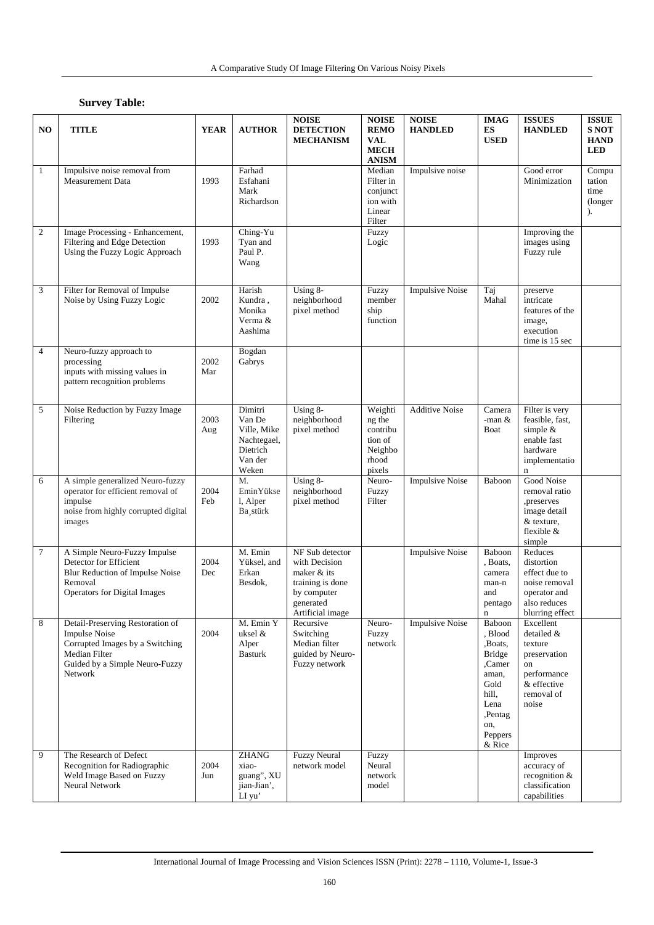### **Survey Table:**

| NO               | <b>TITLE</b>                                                                                                                                              | <b>YEAR</b> | <b>AUTHOR</b>                                                                   | <b>NOISE</b><br><b>DETECTION</b><br><b>MECHANISM</b>                                                                | <b>NOISE</b><br><b>REMO</b><br>VAL<br><b>MECH</b><br><b>ANISM</b>      | <b>NOISE</b><br><b>HANDLED</b> | <b>IMAG</b><br>ES<br><b>USED</b>                                                                                                 | <b>ISSUES</b><br><b>HANDLED</b>                                                                               | <b>ISSUE</b><br><b>S NOT</b><br><b>HAND</b><br><b>LED</b> |
|------------------|-----------------------------------------------------------------------------------------------------------------------------------------------------------|-------------|---------------------------------------------------------------------------------|---------------------------------------------------------------------------------------------------------------------|------------------------------------------------------------------------|--------------------------------|----------------------------------------------------------------------------------------------------------------------------------|---------------------------------------------------------------------------------------------------------------|-----------------------------------------------------------|
| $\mathbf{1}$     | Impulsive noise removal from<br><b>Measurement Data</b>                                                                                                   | 1993        | Farhad<br>Esfahani<br>Mark<br>Richardson                                        |                                                                                                                     | Median<br>Filter in<br>conjunct<br>ion with<br>Linear<br>Filter        | Impulsive noise                |                                                                                                                                  | Good error<br>Minimization                                                                                    | Compu<br>tation<br>time<br>(longer)<br>$\mathcal{L}$      |
| $\boldsymbol{2}$ | Image Processing - Enhancement,<br>Filtering and Edge Detection<br>Using the Fuzzy Logic Approach                                                         | 1993        | Ching-Yu<br>Tyan and<br>Paul P.<br>Wang                                         |                                                                                                                     | Fuzzy<br>Logic                                                         |                                |                                                                                                                                  | Improving the<br>images using<br>Fuzzy rule                                                                   |                                                           |
| 3                | Filter for Removal of Impulse<br>Noise by Using Fuzzy Logic                                                                                               | 2002        | Harish<br>Kundra,<br>Monika<br>Verma &<br>Aashima                               | Using 8-<br>neighborhood<br>pixel method                                                                            | Fuzzy<br>member<br>ship<br>function                                    | <b>Impulsive Noise</b>         | Taj<br>Mahal                                                                                                                     | preserve<br>intricate<br>features of the<br>image,<br>execution<br>time is 15 sec                             |                                                           |
| $\overline{4}$   | Neuro-fuzzy approach to<br>processing<br>inputs with missing values in<br>pattern recognition problems                                                    | 2002<br>Mar | Bogdan<br>Gabrys                                                                |                                                                                                                     |                                                                        |                                |                                                                                                                                  |                                                                                                               |                                                           |
| 5                | Noise Reduction by Fuzzy Image<br>Filtering                                                                                                               | 2003<br>Aug | Dimitri<br>Van De<br>Ville, Mike<br>Nachtegael,<br>Dietrich<br>Van der<br>Weken | Using 8-<br>neighborhood<br>pixel method                                                                            | Weighti<br>ng the<br>contribu<br>tion of<br>Neighbo<br>rhood<br>pixels | <b>Additive Noise</b>          | Camera<br>-man $&$<br>Boat                                                                                                       | Filter is very<br>feasible, fast,<br>simple $&$<br>enable fast<br>hardware<br>implementatio<br>$\mathbf n$    |                                                           |
| 6                | A simple generalized Neuro-fuzzy<br>operator for efficient removal of<br>impulse<br>noise from highly corrupted digital<br>images                         | 2004<br>Feb | M.<br>EminYükse<br>l, Alper<br>Ba stürk                                         | Using 8-<br>neighborhood<br>pixel method                                                                            | Neuro-<br>Fuzzy<br>Filter                                              | <b>Impulsive Noise</b>         | Baboon                                                                                                                           | Good Noise<br>removal ratio<br>,preserves<br>image detail<br>& texture.<br>flexible $&$<br>simple             |                                                           |
| $\tau$           | A Simple Neuro-Fuzzy Impulse<br>Detector for Efficient<br>Blur Reduction of Impulse Noise<br>Removal<br><b>Operators for Digital Images</b>               | 2004<br>Dec | M. Emin<br>Yüksel, and<br>Erkan<br>Besdok,                                      | NF Sub detector<br>with Decision<br>maker & its<br>training is done<br>by computer<br>generated<br>Artificial image |                                                                        | <b>Impulsive Noise</b>         | Baboon<br>, Boats,<br>camera<br>man-n<br>and<br>pentago<br>$\mathbf n$                                                           | Reduces<br>distortion<br>effect due to<br>noise removal<br>operator and<br>also reduces<br>blurring effect    |                                                           |
| 8                | Detail-Preserving Restoration of<br><b>Impulse Noise</b><br>Corrupted Images by a Switching<br>Median Filter<br>Guided by a Simple Neuro-Fuzzy<br>Network | 2004        | M. Emin Y<br>uksel &<br>Alper<br><b>Basturk</b>                                 | Recursive<br>Switching<br>Median filter<br>guided by Neuro-<br>Fuzzy network                                        | Neuro-<br>Fuzzy<br>network                                             | <b>Impulsive Noise</b>         | Baboon<br>, Blood<br>,Boats,<br><b>Bridge</b><br>Camer,<br>aman,<br>Gold<br>hill,<br>Lena<br>,Pentag<br>on,<br>Peppers<br>& Rice | Excellent<br>detailed &<br>texture<br>preservation<br>on<br>performance<br>& effective<br>removal of<br>noise |                                                           |
| 9                | The Research of Defect<br>Recognition for Radiographic<br>Weld Image Based on Fuzzy<br>Neural Network                                                     | 2004<br>Jun | <b>ZHANG</b><br>xiao-<br>guang", XU<br>jian-Jian',<br>LI yu'                    | <b>Fuzzy Neural</b><br>network model                                                                                | Fuzzy<br>Neural<br>network<br>model                                    |                                |                                                                                                                                  | Improves<br>accuracy of<br>recognition &<br>classification<br>capabilities                                    |                                                           |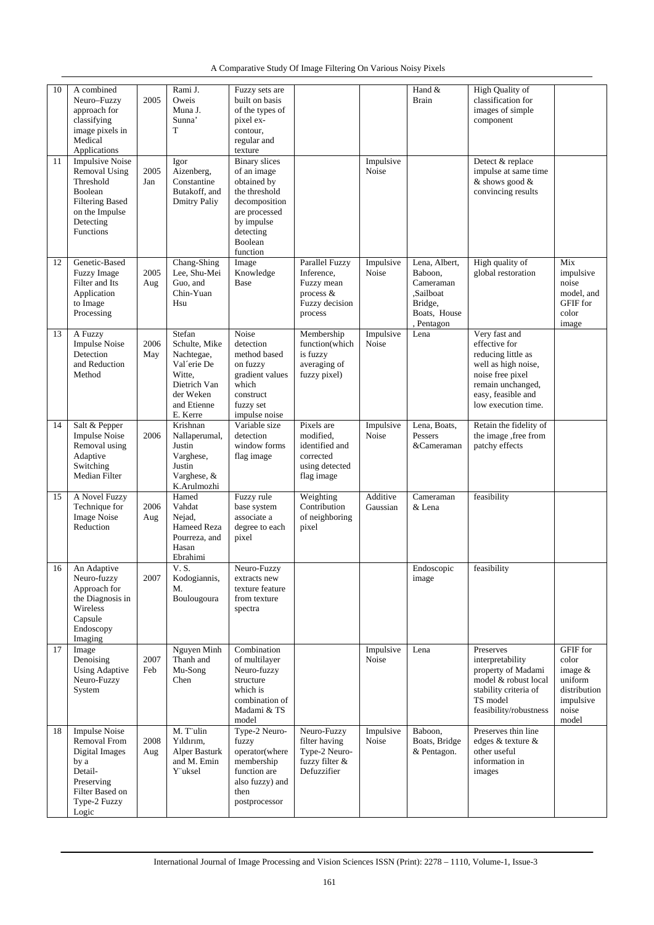|  | A Comparative Study Of Image Filtering On Various Noisy Pixels |
|--|----------------------------------------------------------------|
|--|----------------------------------------------------------------|

| 10 | A combined<br>Neuro-Fuzzy<br>approach for<br>classifying<br>image pixels in<br>Medical<br>Applications                                       | 2005        | Rami J.<br>Oweis<br>Muna J.<br>Sunna'<br>T                                                                             | Fuzzy sets are<br>built on basis<br>of the types of<br>pixel ex-<br>contour,<br>regular and<br>texture                                                  |                                                                                        |                      | Hand &<br><b>Brain</b>                                                                      | <b>High Quality of</b><br>classification for<br>images of simple<br>component                                                                                     |                                                                                                 |
|----|----------------------------------------------------------------------------------------------------------------------------------------------|-------------|------------------------------------------------------------------------------------------------------------------------|---------------------------------------------------------------------------------------------------------------------------------------------------------|----------------------------------------------------------------------------------------|----------------------|---------------------------------------------------------------------------------------------|-------------------------------------------------------------------------------------------------------------------------------------------------------------------|-------------------------------------------------------------------------------------------------|
| 11 | <b>Impulsive Noise</b><br><b>Removal Using</b><br>Threshold<br>Boolean<br><b>Filtering Based</b><br>on the Impulse<br>Detecting<br>Functions | 2005<br>Jan | Igor<br>Aizenberg,<br>Constantine<br>Butakoff, and<br><b>Dmitry Paliy</b>                                              | <b>Binary</b> slices<br>of an image<br>obtained by<br>the threshold<br>decomposition<br>are processed<br>by impulse<br>detecting<br>Boolean<br>function |                                                                                        | Impulsive<br>Noise   |                                                                                             | Detect & replace<br>impulse at same time<br>& shows good &<br>convincing results                                                                                  |                                                                                                 |
| 12 | Genetic-Based<br>Fuzzy Image<br>Filter and Its<br>Application<br>to Image<br>Processing                                                      | 2005<br>Aug | Chang-Shing<br>Lee, Shu-Mei<br>Guo, and<br>Chin-Yuan<br>Hsu                                                            | Image<br>Knowledge<br>Base                                                                                                                              | Parallel Fuzzy<br>Inference,<br>Fuzzy mean<br>process &<br>Fuzzy decision<br>process   | Impulsive<br>Noise   | Lena, Albert,<br>Baboon,<br>Cameraman<br>.Sailboat<br>Bridge,<br>Boats, House<br>, Pentagon | High quality of<br>global restoration                                                                                                                             | Mix<br>impulsive<br>noise<br>model, and<br>GFIF for<br>color<br>image                           |
| 13 | A Fuzzy<br><b>Impulse Noise</b><br>Detection<br>and Reduction<br>Method                                                                      | 2006<br>May | Stefan<br>Schulte, Mike<br>Nachtegae,<br>Val'erie De<br>Witte.<br>Dietrich Van<br>der Weken<br>and Etienne<br>E. Kerre | Noise<br>detection<br>method based<br>on fuzzy<br>gradient values<br>which<br>construct<br>fuzzy set<br>impulse noise                                   | Membership<br>function(which<br>is fuzzy<br>averaging of<br>fuzzy pixel)               | Impulsive<br>Noise   | Lena                                                                                        | Very fast and<br>effective for<br>reducing little as<br>well as high noise,<br>noise free pixel<br>remain unchanged,<br>easy, feasible and<br>low execution time. |                                                                                                 |
| 14 | Salt & Pepper<br><b>Impulse Noise</b><br>Removal using<br>Adaptive<br>Switching<br>Median Filter                                             | 2006        | Krishnan<br>Nallaperumal,<br>Justin<br>Varghese,<br>Justin<br>Varghese, &<br>K.Arulmozhi                               | Variable size<br>detection<br>window forms<br>flag image                                                                                                | Pixels are<br>modified,<br>identified and<br>corrected<br>using detected<br>flag image | Impulsive<br>Noise   | Lena, Boats,<br>Pessers<br>&Cameraman                                                       | Retain the fidelity of<br>the image ,free from<br>patchy effects                                                                                                  |                                                                                                 |
| 15 | A Novel Fuzzy<br>Technique for<br><b>Image Noise</b><br>Reduction                                                                            | 2006<br>Aug | Hamed<br>Vahdat<br>Nejad,<br>Hameed Reza<br>Pourreza, and<br>Hasan<br>Ebrahimi                                         | Fuzzy rule<br>base system<br>associate a<br>degree to each<br>pixel                                                                                     | Weighting<br>Contribution<br>of neighboring<br>pixel                                   | Additive<br>Gaussian | Cameraman<br>& Lena                                                                         | feasibility                                                                                                                                                       |                                                                                                 |
| 16 | An Adaptive<br>Neuro-fuzzy<br>Approach for<br>the Diagnosis in<br>Wireless<br>Capsule<br>Endoscopy<br>Imaging                                | 2007        | V.S.<br>Kodogiannis,<br>M.<br>Boulougoura                                                                              | Neuro-Fuzzy<br>extracts new<br>texture feature<br>from texture<br>spectra                                                                               |                                                                                        |                      | Endoscopic<br>image                                                                         | feasibility                                                                                                                                                       |                                                                                                 |
| 17 | Image<br>Denoising<br><b>Using Adaptive</b><br>Neuro-Fuzzy<br>System                                                                         | 2007<br>Feb | Nguyen Minh<br>Thanh and<br>Mu-Song<br>Chen                                                                            | Combination<br>of multilayer<br>Neuro-fuzzy<br>structure<br>which is<br>combination of<br>Madami & TS<br>model                                          |                                                                                        | Impulsive<br>Noise   | Lena                                                                                        | Preserves<br>interpretability<br>property of Madami<br>model & robust local<br>stability criteria of<br>TS model<br>feasibility/robustness                        | <b>GFIF</b> for<br>color<br>image $&$<br>uniform<br>distribution<br>impulsive<br>noise<br>model |
| 18 | <b>Impulse Noise</b><br>Removal From<br>Digital Images<br>by a<br>Detail-<br>Preserving<br>Filter Based on<br>Type-2 Fuzzy<br>Logic          | 2008<br>Aug | M. T'ulin<br>Yıldırım,<br>Alper Basturk<br>and M. Emin<br>Y uksel                                                      | Type-2 Neuro-<br>fuzzy<br>operator(where<br>membership<br>function are<br>also fuzzy) and<br>then<br>postprocessor                                      | Neuro-Fuzzy<br>filter having<br>Type-2 Neuro-<br>fuzzy filter &<br>Defuzzifier         | Impulsive<br>Noise   | Baboon,<br>Boats, Bridge<br>& Pentagon.                                                     | Preserves thin line<br>edges & texture &<br>other useful<br>information in<br>images                                                                              |                                                                                                 |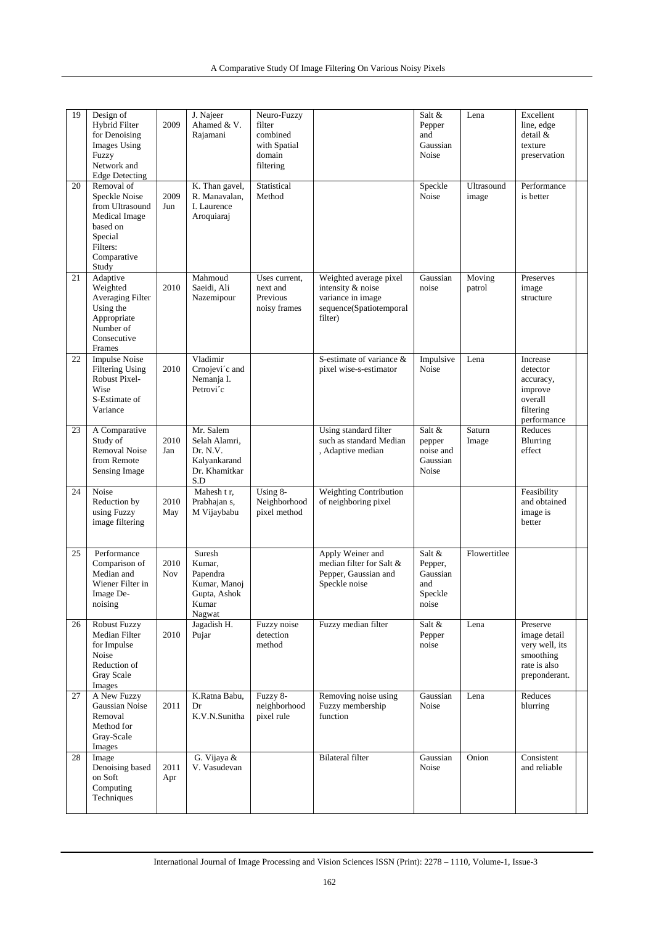| 19 | Design of                            |            | J. Najeer                       | Neuro-Fuzzy              |                                                       | Salt &                | Lena                | Excellent                   |  |
|----|--------------------------------------|------------|---------------------------------|--------------------------|-------------------------------------------------------|-----------------------|---------------------|-----------------------------|--|
|    | Hybrid Filter<br>for Denoising       | 2009       | Ahamed & V.<br>Rajamani         | filter<br>combined       |                                                       | Pepper<br>and         |                     | line, edge<br>detail &      |  |
|    | Images Using                         |            |                                 | with Spatial             |                                                       | Gaussian              |                     | texture                     |  |
|    | Fuzzy                                |            |                                 | domain                   |                                                       | Noise                 |                     | preservation                |  |
|    | Network and                          |            |                                 | filtering                |                                                       |                       |                     |                             |  |
|    | <b>Edge Detecting</b>                |            |                                 |                          |                                                       |                       |                     |                             |  |
| 20 | Removal of<br>Speckle Noise          | 2009       | K. Than gavel,<br>R. Manavalan, | Statistical<br>Method    |                                                       | Speckle<br>Noise      | Ultrasound<br>image | Performance<br>is better    |  |
|    | from Ultrasound                      | Jun        | I. Laurence                     |                          |                                                       |                       |                     |                             |  |
|    | Medical Image                        |            | Aroquiaraj                      |                          |                                                       |                       |                     |                             |  |
|    | based on                             |            |                                 |                          |                                                       |                       |                     |                             |  |
|    | Special                              |            |                                 |                          |                                                       |                       |                     |                             |  |
|    | Filters:<br>Comparative              |            |                                 |                          |                                                       |                       |                     |                             |  |
|    | Study                                |            |                                 |                          |                                                       |                       |                     |                             |  |
| 21 | Adaptive                             |            | Mahmoud                         | Uses current,            | Weighted average pixel                                | Gaussian              | Moving              | Preserves                   |  |
|    | Weighted                             | 2010       | Saeidi, Ali                     | next and                 | intensity & noise                                     | noise                 | patrol              | image                       |  |
|    | <b>Averaging Filter</b><br>Using the |            | Nazemipour                      | Previous<br>noisy frames | variance in image<br>sequence(Spatiotemporal          |                       |                     | structure                   |  |
|    | Appropriate                          |            |                                 |                          | filter)                                               |                       |                     |                             |  |
|    | Number of                            |            |                                 |                          |                                                       |                       |                     |                             |  |
|    | Consecutive                          |            |                                 |                          |                                                       |                       |                     |                             |  |
| 22 | Frames<br><b>Impulse Noise</b>       |            | Vladimir                        |                          | S-estimate of variance &                              | Impulsive             | Lena                | Increase                    |  |
|    | <b>Filtering Using</b>               | 2010       | Crnojevi'c and                  |                          | pixel wise-s-estimator                                | Noise                 |                     | detector                    |  |
|    | Robust Pixel-                        |            | Nemanja I.                      |                          |                                                       |                       |                     | accuracy,                   |  |
|    | Wise                                 |            | Petrovi'c                       |                          |                                                       |                       |                     | improve                     |  |
|    | S-Estimate of<br>Variance            |            |                                 |                          |                                                       |                       |                     | overall<br>filtering        |  |
|    |                                      |            |                                 |                          |                                                       |                       |                     | performance                 |  |
| 23 | A Comparative                        |            | Mr. Salem                       |                          | Using standard filter                                 | Salt &                | Saturn              | Reduces                     |  |
|    | Study of                             | 2010       | Selah Alamri,                   |                          | such as standard Median                               | pepper                | Image               | Blurring                    |  |
|    | <b>Removal Noise</b><br>from Remote  | Jan        | Dr. N.V.<br>Kalyankarand        |                          | , Adaptive median                                     | noise and<br>Gaussian |                     | effect                      |  |
|    | Sensing Image                        |            | Dr. Khamitkar                   |                          |                                                       | Noise                 |                     |                             |  |
|    |                                      |            | S.D                             |                          |                                                       |                       |                     |                             |  |
| 24 | Noise<br>Reduction by                | 2010       | Mahesh t r,<br>Prabhajan s,     | Using 8-<br>Neighborhood | <b>Weighting Contribution</b><br>of neighboring pixel |                       |                     | Feasibility<br>and obtained |  |
|    | using Fuzzy                          | May        | M Vijaybabu                     | pixel method             |                                                       |                       |                     | image is                    |  |
|    | image filtering                      |            |                                 |                          |                                                       |                       |                     | better                      |  |
|    |                                      |            |                                 |                          |                                                       |                       |                     |                             |  |
| 25 | Performance                          |            | Suresh                          |                          | Apply Weiner and                                      | Salt &                | Flowertitlee        |                             |  |
|    | Comparison of                        | 2010       | Kumar,                          |                          | median filter for Salt &                              | Pepper,               |                     |                             |  |
|    | Median and                           | <b>Nov</b> | Papendra                        |                          | Pepper, Gaussian and                                  | Gaussian              |                     |                             |  |
|    | Wiener Filter in<br>Image De-        |            | Kumar, Manoj<br>Gupta, Ashok    |                          | Speckle noise                                         | and<br>Speckle        |                     |                             |  |
|    | noising                              |            | Kumar                           |                          |                                                       | noise                 |                     |                             |  |
|    |                                      |            | Nagwat                          |                          |                                                       |                       |                     |                             |  |
| 26 | <b>Robust Fuzzy</b><br>Median Filter | 2010       | Jagadish H.<br>Pujar            | Fuzzy noise<br>detection | Fuzzy median filter                                   | Salt &<br>Pepper      | Lena                | Preserve<br>image detail    |  |
|    | for Impulse                          |            |                                 | method                   |                                                       | noise                 |                     | very well, its              |  |
|    | Noise                                |            |                                 |                          |                                                       |                       |                     | smoothing                   |  |
|    | Reduction of                         |            |                                 |                          |                                                       |                       |                     | rate is also                |  |
|    | Gray Scale                           |            |                                 |                          |                                                       |                       |                     | preponderant.               |  |
| 27 | Images<br>A New Fuzzy                |            | K.Ratna Babu,                   | Fuzzy 8-                 | Removing noise using                                  | Gaussian              | Lena                | Reduces                     |  |
|    | Gaussian Noise                       | 2011       | Dr                              | neighborhood             | Fuzzy membership                                      | Noise                 |                     | blurring                    |  |
|    | Removal                              |            | K.V.N.Sunitha                   | pixel rule               | function                                              |                       |                     |                             |  |
|    | Method for<br>Gray-Scale             |            |                                 |                          |                                                       |                       |                     |                             |  |
|    | Images                               |            |                                 |                          |                                                       |                       |                     |                             |  |
| 28 | Image                                |            | G. Vijaya &                     |                          | <b>Bilateral</b> filter                               | Gaussian              | Onion               | Consistent                  |  |
|    | Denoising based                      | 2011       | V. Vasudevan                    |                          |                                                       | Noise                 |                     | and reliable                |  |
|    | on Soft<br>Computing                 | Apr        |                                 |                          |                                                       |                       |                     |                             |  |
|    | Techniques                           |            |                                 |                          |                                                       |                       |                     |                             |  |
|    |                                      |            |                                 |                          |                                                       |                       |                     |                             |  |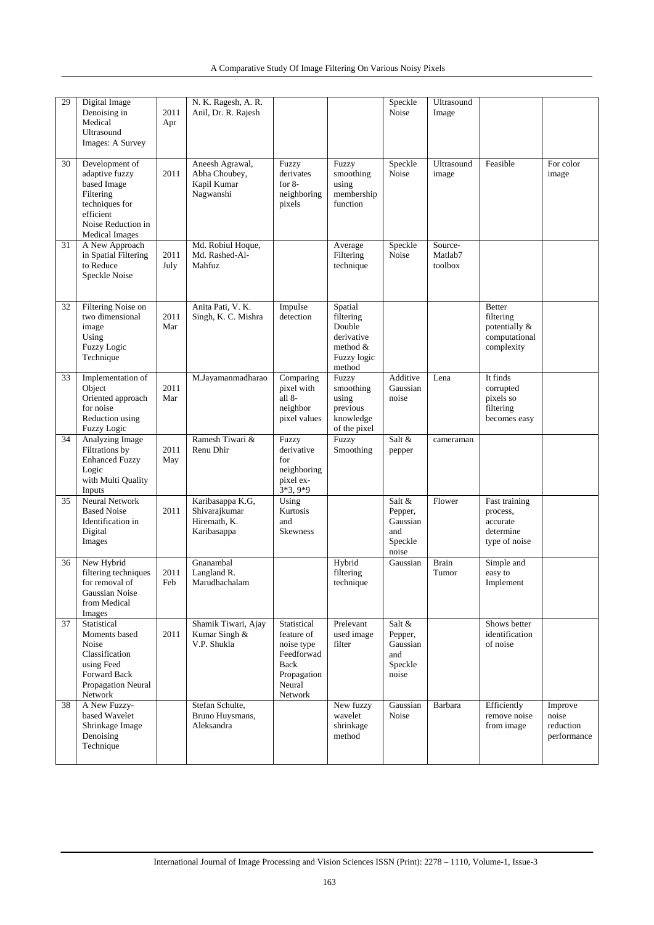| 29 | Digital Image<br>Denoising in<br>Medical<br>Ultrasound<br>Images: A Survey                                                                 | 2011<br>Apr  | N. K. Ragesh, A. R.<br>Anil, Dr. R. Rajesh                       |                                                                                                   |                                                                                   | Speckle<br>Noise                                         | Ultrasound<br>Image           |                                                                            |                                              |
|----|--------------------------------------------------------------------------------------------------------------------------------------------|--------------|------------------------------------------------------------------|---------------------------------------------------------------------------------------------------|-----------------------------------------------------------------------------------|----------------------------------------------------------|-------------------------------|----------------------------------------------------------------------------|----------------------------------------------|
| 30 | Development of<br>adaptive fuzzy<br>based Image<br>Filtering<br>techniques for<br>efficient<br>Noise Reduction in<br><b>Medical Images</b> | 2011         | Aneesh Agrawal,<br>Abha Choubey,<br>Kapil Kumar<br>Nagwanshi     | Fuzzy<br>derivates<br>for $8-$<br>neighboring<br>pixels                                           | Fuzzy<br>smoothing<br>using<br>membership<br>function                             | Speckle<br>Noise                                         | Ultrasound<br>image           | Feasible                                                                   | For color<br>image                           |
| 31 | A New Approach<br>in Spatial Filtering<br>to Reduce<br>Speckle Noise                                                                       | 2011<br>July | Md. Robiul Hoque,<br>Md. Rashed-Al-<br>Mahfuz                    |                                                                                                   | Average<br>Filtering<br>technique                                                 | Speckle<br>Noise                                         | Source-<br>Matlab7<br>toolbox |                                                                            |                                              |
| 32 | Filtering Noise on<br>two dimensional<br>image<br>Using<br><b>Fuzzy Logic</b><br>Technique                                                 | 2011<br>Mar  | Anita Pati, V. K.<br>Singh, K. C. Mishra                         | Impulse<br>detection                                                                              | Spatial<br>filtering<br>Double<br>derivative<br>method &<br>Fuzzy logic<br>method |                                                          |                               | <b>Better</b><br>filtering<br>potentially &<br>computational<br>complexity |                                              |
| 33 | Implementation of<br>Object<br>Oriented approach<br>for noise<br>Reduction using<br><b>Fuzzy Logic</b>                                     | 2011<br>Mar  | M.Jayamanmadharao                                                | Comparing<br>pixel with<br>all 8-<br>neighbor<br>pixel values                                     | Fuzzy<br>smoothing<br>using<br>previous<br>knowledge<br>of the pixel              | Additive<br>Gaussian<br>noise                            | Lena                          | It finds<br>corrupted<br>pixels so<br>filtering<br>becomes easy            |                                              |
| 34 | Analyzing Image<br>Filtrations by<br><b>Enhanced Fuzzy</b><br>Logic<br>with Multi Quality<br>Inputs                                        | 2011<br>May  | Ramesh Tiwari &<br>Renu Dhir                                     | Fuzzy<br>derivative<br>for<br>neighboring<br>pixel ex-<br>$3*3,9*9$                               | Fuzzy<br>Smoothing                                                                | Salt &<br>pepper                                         | cameraman                     |                                                                            |                                              |
| 35 | <b>Neural Network</b><br><b>Based Noise</b><br>Identification in<br>Digital<br>Images                                                      | 2011         | Karibasappa K.G,<br>Shivarajkumar<br>Hiremath, K.<br>Karibasappa | Using<br>Kurtosis<br>and<br><b>Skewness</b>                                                       |                                                                                   | Salt &<br>Pepper,<br>Gaussian<br>and<br>Speckle<br>noise | Flower                        | Fast training<br>process,<br>accurate<br>determine<br>type of noise        |                                              |
| 36 | New Hybrid<br>filtering techniques<br>for removal of<br>Gaussian Noise<br>from Medical<br>Images                                           | 2011<br>Feb  | Gnanambal<br>Langland R.<br>Marudhachalam                        |                                                                                                   | Hybrid<br>filtering<br>technique                                                  | Gaussian                                                 | <b>Brain</b><br>Tumor         | Simple and<br>easy to<br>Implement                                         |                                              |
| 37 | Statistical<br>Moments based<br>Noise<br>Classification<br>using Feed<br>Forward Back<br>Propagation Neural<br>Network                     | 2011         | Shamik Tiwari, Ajay<br>Kumar Singh &<br>V.P. Shukla              | Statistical<br>feature of<br>noise type<br>Feedforwad<br>Back<br>Propagation<br>Neural<br>Network | Prelevant<br>used image<br>filter                                                 | Salt &<br>Pepper,<br>Gaussian<br>and<br>Speckle<br>noise |                               | Shows better<br>identification<br>of noise                                 |                                              |
| 38 | A New Fuzzy-<br>based Wavelet<br>Shrinkage Image<br>Denoising<br>Technique                                                                 |              | Stefan Schulte,<br>Bruno Huysmans,<br>Aleksandra                 |                                                                                                   | New fuzzy<br>wavelet<br>shrinkage<br>method                                       | Gaussian<br>Noise                                        | Barbara                       | Efficiently<br>remove noise<br>from image                                  | Improve<br>noise<br>reduction<br>performance |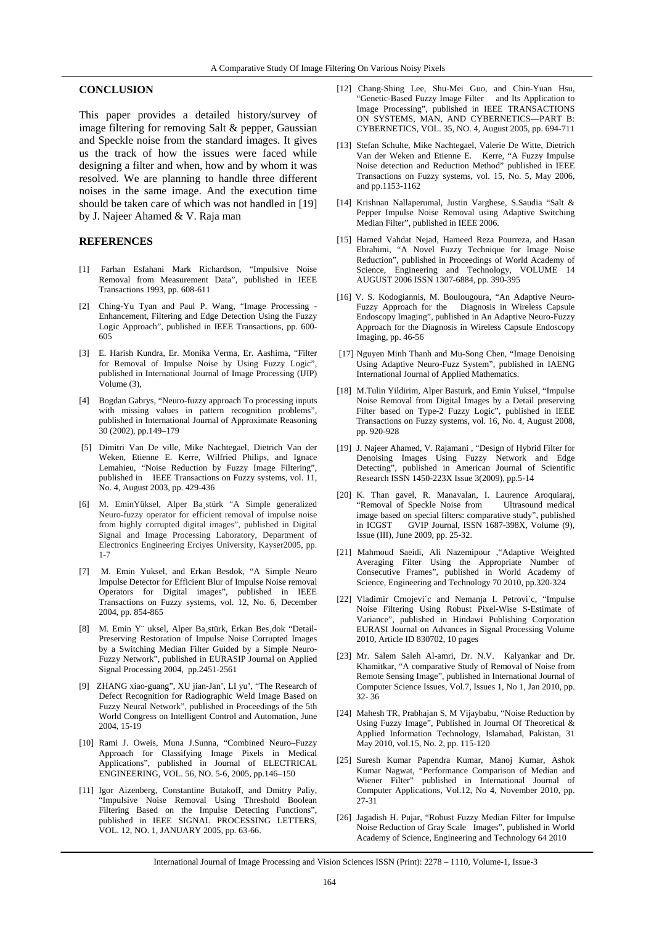#### **CONCLUSION**

This paper provides a detailed history/survey of image filtering for removing Salt & pepper, Gaussian and Speckle noise from the standard images. It gives us the track of how the issues were faced while designing a filter and when, how and by whom it was resolved. We are planning to handle three different noises in the same image. And the execution time should be taken care of which was not handled in [19] by J. Najeer Ahamed & V. Raja man

#### **REFERENCES**

- [1] Farhan Esfahani Mark Richardson, "Impulsive Noise Removal from Measurement Data", published in IEEE Transactions 1993, pp. 608-611
- [2]Ching-Yu Tyan and Paul P. Wang*,* "Image Processing Enhancement, Filtering and Edge Detection Using the Fuzzy Logic Approach", published in IEEE Transactions, pp. 600- 605
- [3] E. Harish Kundra, Er. Monika Verma, Er. Aashima, "Filter for Removal of Impulse Noise by Using Fuzzy Logic", published in International Journal of Image Processing (IJIP) Volume (3),
- [4] Bogdan Gabrys, "Neuro-fuzzy approach To processing inputs with missing values in pattern recognition problems", published in International Journal of Approximate Reasoning 30 (2002), pp.149–179
- [5] Dimitri Van De ville, Mike Nachtegael, Dietrich Van der Weken, Etienne E. Kerre, Wilfried Philips, and Ignace Lemahieu, "Noise Reduction by Fuzzy Image Filtering", published in IEEE Transactions on Fuzzy systems, vol. 11, No. 4, August 2003, pp. 429-436
- [6] M. EminYüksel, Alper Ba¸stürk "A Simple generalized Neuro-fuzzy operator for efficient removal of impulse noise from highly corrupted digital images", published in Digital Signal and Image Processing Laboratory, Department of Electronics Engineering Erciyes University, Kayser2005, pp. 1-7
- [7] M. Emin Yuksel, and Erkan Besdok, "A Simple Neuro Impulse Detector for Efficient Blur of Impulse Noise removal Operators for Digital images", published in IEEE Transactions on Fuzzy systems, vol. 12, No. 6, December 2004, pp. 854-865
- [8] M. Emin Y¨ uksel, Alper Ba¸stürk, Erkan Bes¸dok "Detail-Preserving Restoration of Impulse Noise Corrupted Images by a Switching Median Filter Guided by a Simple Neuro-Fuzzy Network", published in EURASIP Journal on Applied Signal Processing 2004, pp.2451-2561
- [9] ZHANG xiao-guang", XU jian-Jan', LI yu', "The Research of Defect Recognition for Radiographic Weld Image Based on Fuzzy Neural Network", published in Proceedings of the 5th World Congress on Intelligent Control and Automation, June 2004, 15-19
- [10] Rami J. Oweis, Muna J.Sunna, "Combined Neuro–Fuzzy Approach for Classifying Image Pixels in Medical Applications", published in Journal of ELECTRICAL ENGINEERING, VOL. 56, NO. 5-6, 2005, pp.146–150
- [11] Igor Aizenberg*,* Constantine Butakoff, and Dmitry Paliy, "Impulsive Noise Removal Using Threshold Boolean Filtering Based on the Impulse Detecting Functions", published in IEEE SIGNAL PROCESSING LETTERS, VOL. 12, NO. 1, JANUARY 2005, pp. 63-66.
- [12] Chang-Shing Lee, Shu-Mei Guo, and Chin-Yuan Hsu, "Genetic-Based Fuzzy Image Filter and Its Application to Image Processing", published in IEEE TRANSACTIONS ON SYSTEMS, MAN, AND CYBERNETICS—PART B: CYBERNETICS, VOL. 35, NO. 4, August 2005, pp. 694-711
- [13] Stefan Schulte, Mike Nachtegael, Valerie De Witte, Dietrich Van der Weken and Etienne E. Kerre, "A Fuzzy Impulse Noise detection and Reduction Method" published in IEEE Transactions on Fuzzy systems, vol. 15, No. 5, May 2006, and pp.1153-1162
- [14] Krishnan Nallaperumal, Justin Varghese, S.Saudia "Salt & Pepper Impulse Noise Removal using Adaptive Switching Median Filter", published in IEEE 2006.
- [15] Hamed Vahdat Nejad, Hameed Reza Pourreza, and Hasan Ebrahimi, "A Novel Fuzzy Technique for Image Noise Reduction", published in Proceedings of World Academy of Science, Engineering and Technology, VOLUME 14 AUGUST 2006 ISSN 1307-6884, pp. 390-395
- [16] V. S. Kodogiannis, M. Boulougoura, "An Adaptive Neuro-Fuzzy Approach for the Diagnosis in Wireless Capsule Endoscopy Imaging", published in An Adaptive Neuro-Fuzzy Approach for the Diagnosis in Wireless Capsule Endoscopy Imaging, pp. 46-56
- [17] Nguyen Minh Thanh and Mu-Song Chen, "Image Denoising Using Adaptive Neuro-Fuzz System", published in IAENG International Journal of Applied Mathematics.
- [18] M.Tulin Yildirim, Alper Basturk, and Emin Yuksel, "Impulse Noise Removal from Digital Images by a Detail preserving Filter based on Type-2 Fuzzy Logic", published in IEEE Transactions on Fuzzy systems, vol. 16, No. 4, August 2008, pp. 920-928
- [19] J. Najeer Ahamed, V. Rajamani , "Design of Hybrid Filter for Denoising Images Using Fuzzy Network and Edge Detecting", published in American Journal of Scientific Research ISSN 1450-223X Issue 3(2009), pp.5-14
- [20] K. Than gavel, R. Manavalan, I. Laurence Aroquiaraj, "Removal of Speckle Noise from Ultrasound medical image based on special filters: comparative study", published<br>in ICGST GVIP Journal JSSN 1687-398X Volume (9)  $\overrightarrow{GVP}$  Journal, ISSN 1687-398X, Volume (9), Issue (III), June 2009, pp. 25-32.
- [21] Mahmoud Saeidi, Ali Nazemipour ,"Adaptive Weighted Averaging Filter Using the Appropriate Number of Consecutive Frames", published in World Academy of Science, Engineering and Technology 70 2010, pp.320-324
- [22] Vladimir Crnojevi´c and Nemanja I. Petrovi´c, "Impulse Noise Filtering Using Robust Pixel-Wise S-Estimate of Variance", published in Hindawi Publishing Corporation EURASI Journal on Advances in Signal Processing Volume 2010, Article ID 830702, 10 pages
- [23] Mr. Salem Saleh Al-amri, Dr. N.V. Kalyankar and Dr. Khamitkar, "A comparative Study of Removal of Noise from Remote Sensing Image", published in International Journal of Computer Science Issues, Vol.7, Issues 1, No 1, Jan 2010, pp. 32- 36
- [24] Mahesh TR, Prabhajan S, M Vijaybabu, "Noise Reduction by Using Fuzzy Image", Published in Journal Of Theoretical & Applied Information Technology, Islamabad, Pakistan, 31 May 2010, vol.15, No. 2, pp. 115-120
- [25] Suresh Kumar Papendra Kumar, Manoj Kumar, Ashok Kumar Nagwat, "Performance Comparison of Median and Wiener Filter" published in International Journal of Computer Applications, Vol.12, No 4, November 2010, pp. 27-31
- [26] Jagadish H. Pujar, "Robust Fuzzy Median Filter for Impulse Noise Reduction of Gray Scale Images", published in World Academy of Science, Engineering and Technology 64 2010

International Journal of Image Processing and Vision Sciences ISSN (Print): 2278 – 1110, Volume-1, Issue-3